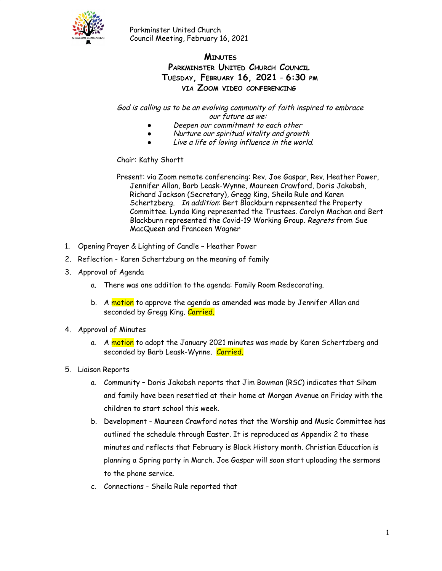

### **MINUTES PARKMINSTER UNITED CHURCH COUNCIL TUESDAY, FEBRUARY 16, 2021** - **6:30 PM VIA ZOOM VIDEO CONFERENCING**

God is calling us to be an evolving community of faith inspired to embrace our future as we:

- Deepen our commitment to each other
- Nurture our spiritual vitality and growth
- Live a life of loving influence in the world.

#### Chair: Kathy Shortt

Present: via Zoom remote conferencing: Rev. Joe Gaspar, Rev. Heather Power, Jennifer Allan, Barb Leask-Wynne, Maureen Crawford, Doris Jakobsh, Richard Jackson (Secretary), Gregg King, Sheila Rule and Karen Schertzberg. In addition: Bert Blackburn represented the Property Committee. Lynda King represented the Trustees. Carolyn Machan and Bert Blackburn represented the Covid-19 Working Group. Regrets from Sue MacQueen and Franceen Wagner

- 1. Opening Prayer & Lighting of Candle Heather Power
- 2. Reflection Karen Schertzburg on the meaning of family
- 3. Approval of Agenda
	- a. There was one addition to the agenda: Family Room Redecorating.
	- b. A motion to approve the agenda as amended was made by Jennifer Allan and seconded by Gregg King. Carried.
- 4. Approval of Minutes
	- a. A motion to adopt the January 2021 minutes was made by Karen Schertzberg and seconded by Barb Leask-Wynne. Carried.
- 5. Liaison Reports
	- a. Community Doris Jakobsh reports that Jim Bowman (RSC) indicates that Siham and family have been resettled at their home at Morgan Avenue on Friday with the children to start school this week.
	- b. Development Maureen Crawford notes that the Worship and Music Committee has outlined the schedule through Easter. It is reproduced as Appendix 2 to these minutes and reflects that February is Black History month. Christian Education is planning a Spring party in March. Joe Gaspar will soon start uploading the sermons to the phone service.
	- c. Connections Sheila Rule reported that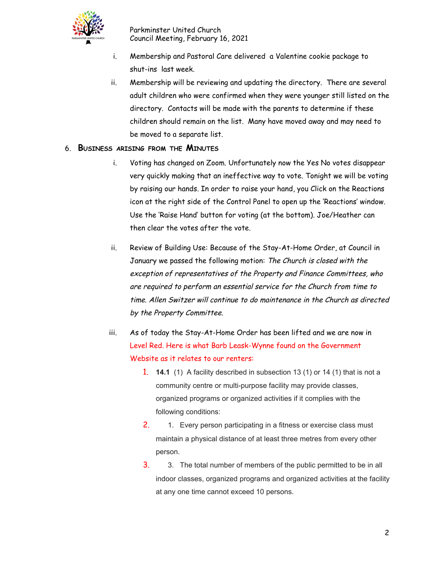

- i. Membership and Pastoral Care delivered a Valentine cookie package to shut-ins last week.
- ii. Membership will be reviewing and updating the directory. There are several adult children who were confirmed when they were younger still listed on the directory. Contacts will be made with the parents to determine if these children should remain on the list. Many have moved away and may need to be moved to a separate list.

### 6. **BUSINESS ARISING FROM THE MINUTES**

- i. Voting has changed on Zoom. Unfortunately now the Yes No votes disappear very quickly making that an ineffective way to vote. Tonight we will be voting by raising our hands. In order to raise your hand, you Click on the Reactions icon at the right side of the Control Panel to open up the 'Reactions' window. Use the 'Raise Hand' button for voting (at the bottom). Joe/Heather can then clear the votes after the vote.
- ii. Review of Building Use: Because of the Stay-At-Home Order, at Council in January we passed the following motion: The Church is closed with the exception of representatives of the Property and Finance Committees, who are required to perform an essential service for the Church from time to time. Allen Switzer will continue to do maintenance in the Church as directed by the Property Committee.
- iii. As of today the Stay-At-Home Order has been lifted and we are now in Level Red. Here is what Barb Leask-Wynne found on the Government Website as it relates to our renters:
	- 1. **14.1** (1) A facility described in subsection 13 (1) or 14 (1) that is not a community centre or multi-purpose facility may provide classes, organized programs or organized activities if it complies with the following conditions:
	- 2. 1. Every person participating in a fitness or exercise class must maintain a physical distance of at least three metres from every other person.
	- 3. 3. The total number of members of the public permitted to be in all indoor classes, organized programs and organized activities at the facility at any one time cannot exceed 10 persons.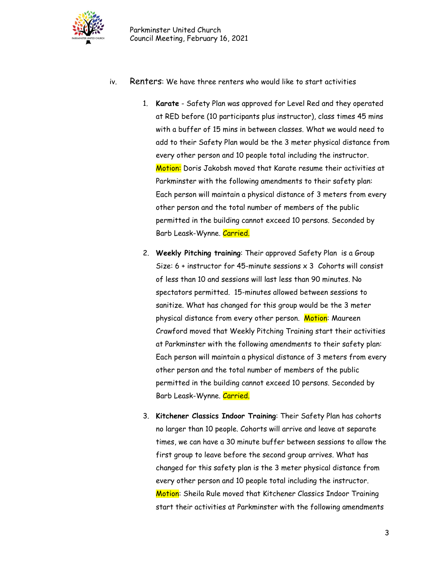

- iv. Renters: We have three renters who would like to start activities
	- 1. **Karate** Safety Plan was approved for Level Red and they operated at RED before (10 participants plus instructor), class times 45 mins with a buffer of 15 mins in between classes. What we would need to add to their Safety Plan would be the 3 meter physical distance from every other person and 10 people total including the instructor. Motion: Doris Jakobsh moved that Karate resume their activities at Parkminster with the following amendments to their safety plan: Each person will maintain a physical distance of 3 meters from every other person and the total number of members of the public permitted in the building cannot exceed 10 persons. Seconded by Barb Leask-Wynne. Carried.
	- 2. **Weekly Pitching training**: Their approved Safety Plan is a Group Size:  $6 +$  instructor for 45-minute sessions  $x$  3 Cohorts will consist of less than 10 and sessions will last less than 90 minutes. No spectators permitted. 15-minutes allowed between sessions to sanitize. What has changed for this group would be the 3 meter physical distance from every other person. Motion: Maureen Crawford moved that Weekly Pitching Training start their activities at Parkminster with the following amendments to their safety plan: Each person will maintain a physical distance of 3 meters from every other person and the total number of members of the public permitted in the building cannot exceed 10 persons. Seconded by Barb Leask-Wynne. Carried.
	- 3. **Kitchener Classics Indoor Training**: Their Safety Plan has cohorts no larger than 10 people. Cohorts will arrive and leave at separate times, we can have a 30 minute buffer between sessions to allow the first group to leave before the second group arrives. What has changed for this safety plan is the 3 meter physical distance from every other person and 10 people total including the instructor. Motion: Sheila Rule moved that Kitchener Classics Indoor Training start their activities at Parkminster with the following amendments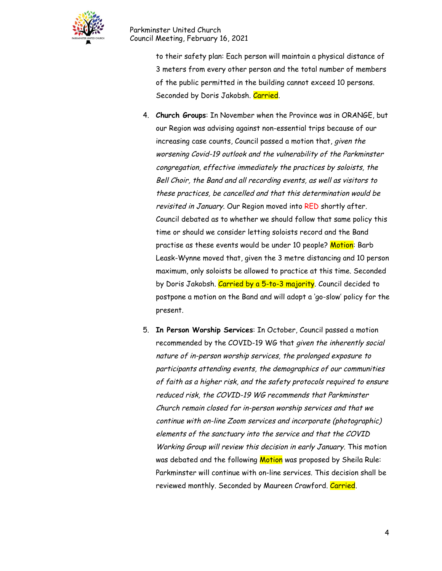

> to their safety plan: Each person will maintain a physical distance of 3 meters from every other person and the total number of members of the public permitted in the building cannot exceed 10 persons. Seconded by Doris Jakobsh. Carried.

- 4. **Church Groups**: In November when the Province was in ORANGE, but our Region was advising against non-essential trips because of our increasing case counts, Council passed a motion that, given the worsening Covid-19 outlook and the vulnerability of the Parkminster congregation, effective immediately the practices by soloists, the Bell Choir, the Band and all recording events, as well as visitors to these practices, be cancelled and that this determination would be revisited in January. Our Region moved into RED shortly after. Council debated as to whether we should follow that same policy this time or should we consider letting soloists record and the Band practise as these events would be under 10 people? Motion: Barb Leask-Wynne moved that, given the 3 metre distancing and 10 person maximum, only soloists be allowed to practice at this time. Seconded by Doris Jakobsh. Carried by a 5-to-3 majority. Council decided to postpone a motion on the Band and will adopt a 'go-slow' policy for the present.
- 5. **In Person Worship Services**: In October, Council passed a motion recommended by the COVID-19 WG that given the inherently social nature of in-person worship services, the prolonged exposure to participants attending events, the demographics of our communities of faith as <sup>a</sup> higher risk, and the safety protocols required to ensure reduced risk, the COVID-19 WG recommends that Parkminster Church remain closed for in-person worship services and that we continue with on-line Zoom services and incorporate (photographic) elements of the sanctuary into the service and that the COVID Working Group will review this decision in early January. This motion was debated and the following Motion was proposed by Sheila Rule: Parkminster will continue with on-line services. This decision shall be reviewed monthly. Seconded by Maureen Crawford. Carried.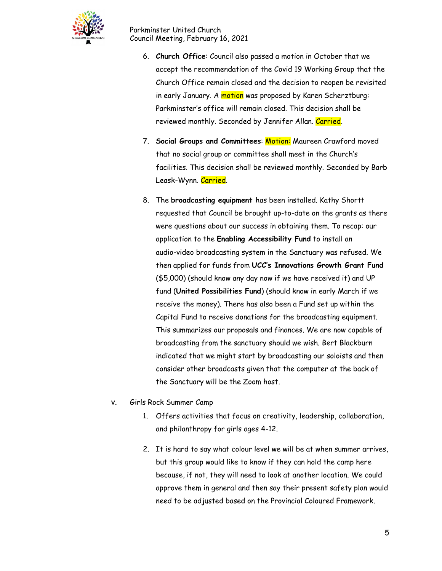

- 6. **Church Office**: Council also passed a motion in October that we accept the recommendation of the Covid 19 Working Group that the Church Office remain closed and the decision to reopen be revisited in early January. A motion was proposed by Karen Scherztburg: Parkminster's office will remain closed. This decision shall be reviewed monthly. Seconded by Jennifer Allan. Carried.
- 7. **Social Groups and Committees**: Motion: Maureen Crawford moved that no social group or committee shall meet in the Church's facilities. This decision shall be reviewed monthly. Seconded by Barb Leask-Wynn. Carried.
- 8. The **broadcasting equipment** has been installed. Kathy Shortt requested that Council be brought up-to-date on the grants as there were questions about our success in obtaining them. To recap: our application to the **Enabling Accessibility Fund** to install an audio-video broadcasting system in the Sanctuary was refused. We then applied for funds from **UCC's Innovations Growth Grant Fund** (\$5,000) (should know any day now if we have received it) and UP fund (**United Possibilities Fund**) (should know in early March if we receive the money). There has also been a Fund set up within the Capital Fund to receive donations for the broadcasting equipment. This summarizes our proposals and finances. We are now capable of broadcasting from the sanctuary should we wish. Bert Blackburn indicated that we might start by broadcasting our soloists and then consider other broadcasts given that the computer at the back of the Sanctuary will be the Zoom host.
- v. Girls Rock Summer Camp
	- 1. Offers activities that focus on creativity, leadership, collaboration, and philanthropy for girls ages 4-12.
	- 2. It is hard to say what colour level we will be at when summer arrives, but this group would like to know if they can hold the camp here because, if not, they will need to look at another location. We could approve them in general and then say their present safety plan would need to be adjusted based on the Provincial Coloured Framework.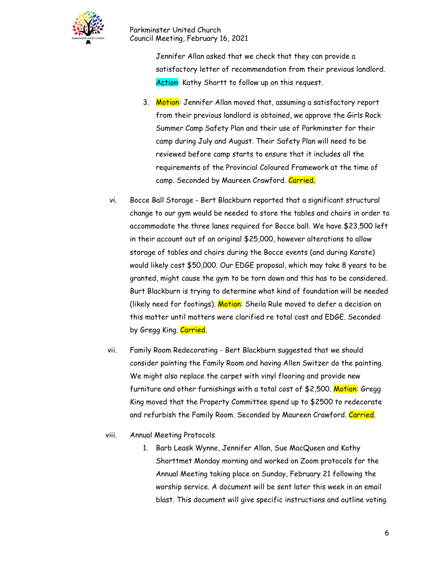

> Jennifer Allan asked that we check that they can provide a satisfactory letter of recommendation from their previous landlord. Action: Kathy Shortt to follow up on this request.

- 3. Motion: Jennifer Allan moved that, assuming a satisfactory report from their previous landlord is obtained, we approve the Girls Rock Summer Camp Safety Plan and their use of Parkminster for their camp during July and August. Their Safety Plan will need to be reviewed before camp starts to ensure that it includes all the requirements of the Provincial Coloured Framework at the time of camp. Seconded by Maureen Crawford. Carried.
- vi. Bocce Ball Storage Bert Blackburn reported that a significant structural change to our gym would be needed to store the tables and chairs in order to accommodate the three lanes required for Bocce ball. We have \$23,500 left in their account out of an original \$25,000, however alterations to allow storage of tables and chairs during the Bocce events (and during Karate) would likely cost \$50,000. Our EDGE proposal, which may take 8 years to be granted, might cause the gym to be torn down and this has to be considered. Burt Blackburn is trying to determine what kind of foundation will be needed (likely need for footings). Motion: Sheila Rule moved to defer a decision on this matter until matters were clarified re total cost and EDGE. Seconded by Gregg King. Carried.
- vii. Family Room Redecorating Bert Blackburn suggested that we should consider painting the Family Room and having Allen Switzer do the painting. We might also replace the carpet with vinyl flooring and provide new furniture and other furnishings with a total cost of \$2,500. Motion: Gregg King moved that the Property Committee spend up to \$2500 to redecorate and refurbish the Family Room. Seconded by Maureen Crawford. Carried.
- viii. Annual Meeting Protocols
	- 1. Barb Leask Wynne, Jennifer Allan, Sue MacQueen and Kathy Shorttmet Monday morning and worked on Zoom protocols for the Annual Meeting taking place on Sunday, February 21 following the worship service. A document will be sent later this week in an email blast. This document will give specific instructions and outline voting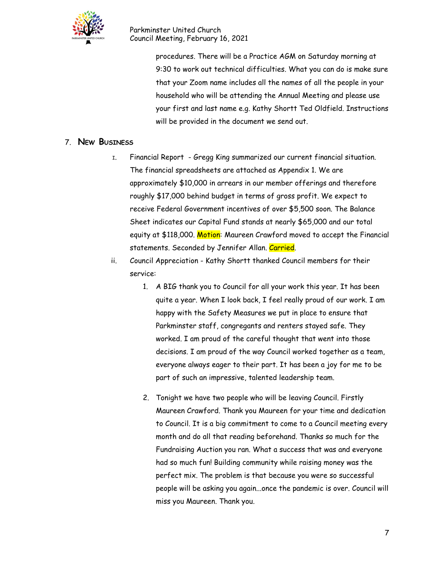

> procedures. There will be a Practice AGM on Saturday morning at 9:30 to work out technical difficulties. What you can do is make sure that your Zoom name includes all the names of all the people in your household who will be attending the Annual Meeting and please use your first and last name e.g. Kathy Shortt Ted Oldfield. Instructions will be provided in the document we send out.

### 7. **NEW BUSINESS**

- <sup>I</sup>. Financial Report Gregg King summarized our current financial situation. The financial spreadsheets are attached as Appendix 1. We are approximately \$10,000 in arrears in our member offerings and therefore roughly \$17,000 behind budget in terms of gross profit. We expect to receive Federal Government incentives of over \$5,500 soon. The Balance Sheet indicates our Capital Fund stands at nearly \$65,000 and our total equity at \$118,000. Motion: Maureen Crawford moved to accept the Financial statements. Seconded by Jennifer Allan. Carried.
- ii. Council Appreciation Kathy Shortt thanked Council members for their service:
	- 1. A BIG thank you to Council for all your work this year. It has been quite a year. When I look back, I feel really proud of our work. I am happy with the Safety Measures we put in place to ensure that Parkminster staff, congregants and renters stayed safe. They worked. I am proud of the careful thought that went into those decisions. I am proud of the way Council worked together as a team, everyone always eager to their part. It has been a joy for me to be part of such an impressive, talented leadership team.
	- 2. Tonight we have two people who will be leaving Council. Firstly Maureen Crawford. Thank you Maureen for your time and dedication to Council. It is a big commitment to come to a Council meeting every month and do all that reading beforehand. Thanks so much for the Fundraising Auction you ran. What a success that was and everyone had so much fun! Building community while raising money was the perfect mix. The problem is that because you were so successful people will be asking you again...once the pandemic is over. Council will miss you Maureen. Thank you.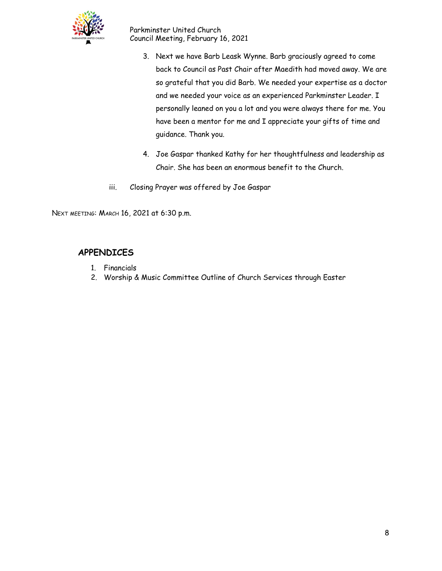

- 3. Next we have Barb Leask Wynne. Barb graciously agreed to come back to Council as Past Chair after Maedith had moved away. We are so grateful that you did Barb. We needed your expertise as a doctor and we needed your voice as an experienced Parkminster Leader. I personally leaned on you a lot and you were always there for me. You have been a mentor for me and I appreciate your gifts of time and guidance. Thank you.
- 4. Joe Gaspar thanked Kathy for her thoughtfulness and leadership as Chair. She has been an enormous benefit to the Church.
- iii. Closing Prayer was offered by Joe Gaspar

NEXT MEETING: MARCH 16, 2021 at 6:30 p.m.

## **APPENDICES**

- 1. Financials
- 2. Worship & Music Committee Outline of Church Services through Easter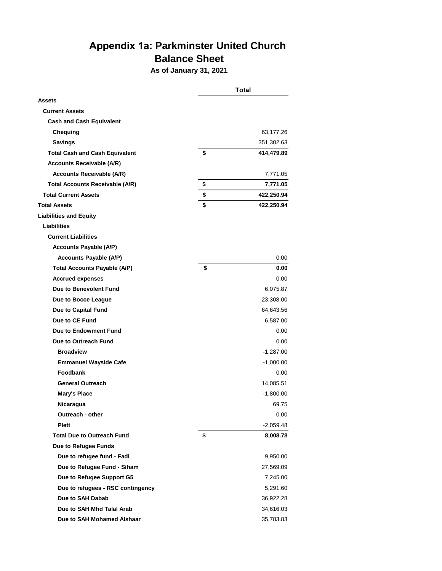# **Appendix 1a: Parkminster United Church Balance Sheet**

**As of January 31, 2021**

|                                        | <b>Total</b> |             |
|----------------------------------------|--------------|-------------|
| <b>Assets</b>                          |              |             |
| <b>Current Assets</b>                  |              |             |
| <b>Cash and Cash Equivalent</b>        |              |             |
| Chequing                               |              | 63,177.26   |
| <b>Savings</b>                         |              | 351,302.63  |
| <b>Total Cash and Cash Equivalent</b>  | \$           | 414,479.89  |
| <b>Accounts Receivable (A/R)</b>       |              |             |
| <b>Accounts Receivable (A/R)</b>       |              | 7,771.05    |
| <b>Total Accounts Receivable (A/R)</b> | \$           | 7,771.05    |
| <b>Total Current Assets</b>            | \$           | 422,250.94  |
| <b>Total Assets</b>                    | \$           | 422,250.94  |
| <b>Liabilities and Equity</b>          |              |             |
| Liabilities                            |              |             |
| <b>Current Liabilities</b>             |              |             |
| <b>Accounts Payable (A/P)</b>          |              |             |
| <b>Accounts Payable (A/P)</b>          |              | 0.00        |
| <b>Total Accounts Payable (A/P)</b>    | \$           | 0.00        |
| <b>Accrued expenses</b>                |              | 0.00        |
| Due to Benevolent Fund                 |              | 6,075.87    |
| Due to Bocce League                    |              | 23,308.00   |
| Due to Capital Fund                    |              | 64,643.56   |
| Due to CE Fund                         |              | 6,587.00    |
| Due to Endowment Fund                  |              | 0.00        |
| Due to Outreach Fund                   |              | 0.00        |
| <b>Broadview</b>                       |              | -1,287.00   |
| <b>Emmanuel Wayside Cafe</b>           |              | $-1,000.00$ |
| <b>Foodbank</b>                        |              | 0.00        |
| <b>General Outreach</b>                |              | 14,085.51   |
| Mary's Place                           |              | $-1,800.00$ |
| Nicaragua                              |              | 69.75       |
| Outreach - other                       |              | 0.00        |
| <b>Plett</b>                           |              | $-2,059.48$ |
| <b>Total Due to Outreach Fund</b>      | \$           | 8,008.78    |
| Due to Refugee Funds                   |              |             |
| Due to refugee fund - Fadi             |              | 9,950.00    |
| Due to Refugee Fund - Siham            |              | 27,569.09   |
| Due to Refugee Support G5              |              | 7,245.00    |
| Due to refugees - RSC contingency      |              | 5,291.60    |
| Due to SAH Dabab                       |              | 36,922.28   |
| Due to SAH Mhd Talal Arab              |              | 34,616.03   |
| Due to SAH Mohamed Alshaar             |              | 35,783.83   |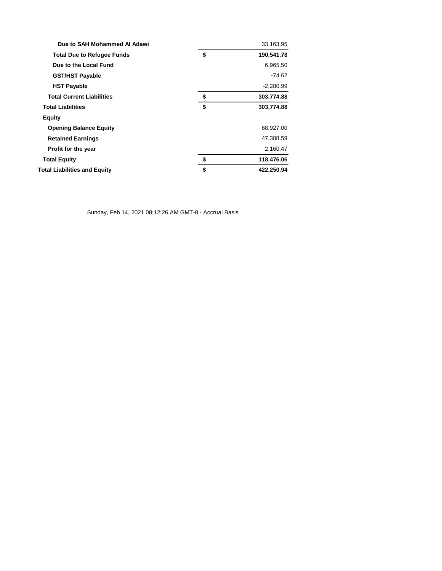| Due to SAH Mohammed Al Adawi        | 33,163.95        |
|-------------------------------------|------------------|
| <b>Total Due to Refugee Funds</b>   | \$<br>190,541.78 |
| Due to the Local Fund               | 6,965.50         |
| <b>GST/HST Payable</b>              | -74.62           |
| <b>HST Payable</b>                  | $-2,280.99$      |
| <b>Total Current Liabilities</b>    | \$<br>303,774.88 |
| <b>Total Liabilities</b>            | \$<br>303,774.88 |
| Equity                              |                  |
| <b>Opening Balance Equity</b>       | 68,927.00        |
| <b>Retained Earnings</b>            | 47,388.59        |
| Profit for the year                 | 2,160.47         |
| <b>Total Equity</b>                 | \$<br>118,476.06 |
| <b>Total Liabilities and Equity</b> | \$<br>422,250.94 |

Sunday, Feb 14, 2021 08:12:26 AM GMT-8 - Accrual Basis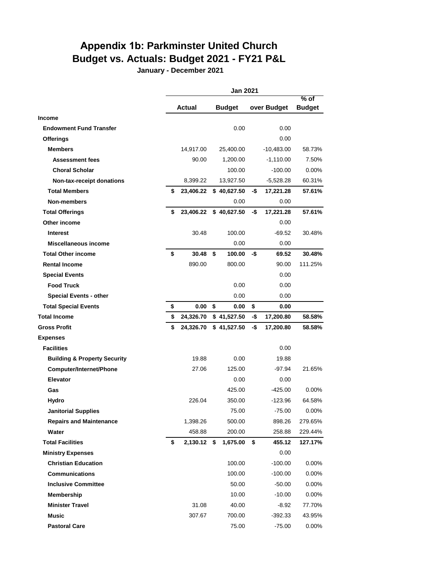# **Appendix 1b: Parkminster United Church Budget vs. Actuals: Budget 2021 - FY21 P&L**

**January - December 2021**

|                                         | <b>Jan 2021</b>     |    |                        |     |              |                         |
|-----------------------------------------|---------------------|----|------------------------|-----|--------------|-------------------------|
|                                         | Actual              |    | <b>Budget</b>          |     | over Budget  | $%$ of<br><b>Budget</b> |
| <b>Income</b>                           |                     |    |                        |     |              |                         |
| <b>Endowment Fund Transfer</b>          |                     |    | 0.00                   |     | 0.00         |                         |
| <b>Offerings</b>                        |                     |    |                        |     | 0.00         |                         |
| <b>Members</b>                          | 14,917.00           |    | 25,400.00              |     | $-10,483.00$ | 58.73%                  |
| <b>Assessment fees</b>                  | 90.00               |    | 1,200.00               |     | $-1,110.00$  | 7.50%                   |
| <b>Choral Scholar</b>                   |                     |    | 100.00                 |     | $-100.00$    | $0.00\%$                |
| Non-tax-receipt donations               | 8,399.22            |    | 13,927.50              |     | $-5,528.28$  | 60.31%                  |
| <b>Total Members</b>                    | \$                  |    | 23,406.22 \$ 40,627.50 | -\$ | 17,221.28    | 57.61%                  |
| <b>Non-members</b>                      |                     |    | 0.00                   |     | 0.00         |                         |
| <b>Total Offerings</b>                  | \$<br>23,406.22     |    | \$40,627.50            | -\$ | 17,221.28    | 57.61%                  |
| Other income                            |                     |    |                        |     | 0.00         |                         |
| <b>Interest</b>                         | 30.48               |    | 100.00                 |     | $-69.52$     | 30.48%                  |
| Miscellaneous income                    |                     |    | 0.00                   |     | 0.00         |                         |
| <b>Total Other income</b>               | \$<br>30.48         | \$ | 100.00                 | -\$ | 69.52        | 30.48%                  |
| <b>Rental Income</b>                    | 890.00              |    | 800.00                 |     | 90.00        | 111.25%                 |
| <b>Special Events</b>                   |                     |    |                        |     | 0.00         |                         |
| <b>Food Truck</b>                       |                     |    | 0.00                   |     | 0.00         |                         |
| <b>Special Events - other</b>           |                     |    | 0.00                   |     | 0.00         |                         |
| <b>Total Special Events</b>             | \$<br>0.00          | \$ | 0.00                   | \$  | 0.00         |                         |
| <b>Total Income</b>                     | \$<br>24,326.70     |    | \$41,527.50            | -\$ | 17,200.80    | 58.58%                  |
| <b>Gross Profit</b>                     | \$<br>24,326.70     |    | \$41,527.50            | -\$ | 17,200.80    | 58.58%                  |
| <b>Expenses</b>                         |                     |    |                        |     |              |                         |
| <b>Facilities</b>                       |                     |    |                        |     | 0.00         |                         |
| <b>Building &amp; Property Security</b> | 19.88               |    | 0.00                   |     | 19.88        |                         |
| <b>Computer/Internet/Phone</b>          | 27.06               |    | 125.00                 |     | $-97.94$     | 21.65%                  |
| <b>Elevator</b>                         |                     |    | 0.00                   |     | 0.00         |                         |
| Gas                                     |                     |    | 425.00                 |     | $-425.00$    | $0.00\%$                |
| Hydro                                   | 226.04              |    | 350.00                 |     | $-123.96$    | 64.58%                  |
| <b>Janitorial Supplies</b>              |                     |    | 75.00                  |     | $-75.00$     | 0.00%                   |
| <b>Repairs and Maintenance</b>          | 1,398.26            |    | 500.00                 |     | 898.26       | 279.65%                 |
| Water                                   | 458.88              |    | 200.00                 |     | 258.88       | 229.44%                 |
| <b>Total Facilities</b>                 | \$<br>$2,130.12$ \$ |    | 1,675.00               | \$  | 455.12       | 127.17%                 |
| <b>Ministry Expenses</b>                |                     |    |                        |     | 0.00         |                         |
| <b>Christian Education</b>              |                     |    | 100.00                 |     | $-100.00$    | 0.00%                   |
| <b>Communications</b>                   |                     |    | 100.00                 |     | $-100.00$    | 0.00%                   |
| <b>Inclusive Committee</b>              |                     |    | 50.00                  |     | $-50.00$     | $0.00\%$                |
| Membership                              |                     |    | 10.00                  |     | $-10.00$     | 0.00%                   |
| <b>Minister Travel</b>                  | 31.08               |    | 40.00                  |     | $-8.92$      | 77.70%                  |
| <b>Music</b>                            | 307.67              |    | 700.00                 |     | -392.33      | 43.95%                  |
| <b>Pastoral Care</b>                    |                     |    | 75.00                  |     | $-75.00$     | 0.00%                   |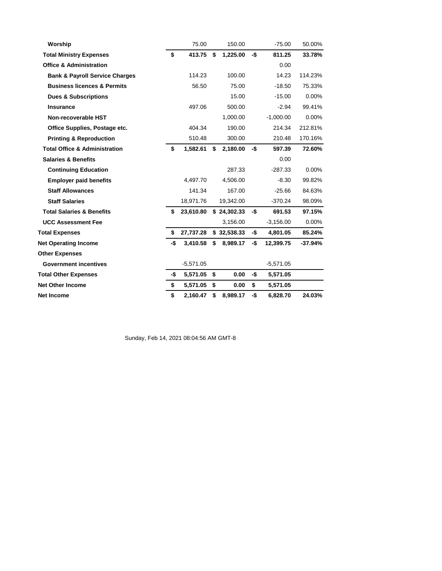| Worship                                   |     | 75.00       | 150.00         |     | $-75.00$    | 50.00%    |
|-------------------------------------------|-----|-------------|----------------|-----|-------------|-----------|
| <b>Total Ministry Expenses</b>            | \$  | 413.75      | \$<br>1,225.00 | -\$ | 811.25      | 33.78%    |
| <b>Office &amp; Administration</b>        |     |             |                |     | 0.00        |           |
| <b>Bank &amp; Payroll Service Charges</b> |     | 114.23      | 100.00         |     | 14.23       | 114.23%   |
| <b>Business licences &amp; Permits</b>    |     | 56.50       | 75.00          |     | $-18.50$    | 75.33%    |
| <b>Dues &amp; Subscriptions</b>           |     |             | 15.00          |     | $-15.00$    | 0.00%     |
| <b>Insurance</b>                          |     | 497.06      | 500.00         |     | $-2.94$     | 99.41%    |
| Non-recoverable HST                       |     |             | 1,000.00       |     | $-1,000.00$ | $0.00\%$  |
| Office Supplies, Postage etc.             |     | 404.34      | 190.00         |     | 214.34      | 212.81%   |
| <b>Printing &amp; Reproduction</b>        |     | 510.48      | 300.00         |     | 210.48      | 170.16%   |
| <b>Total Office &amp; Administration</b>  | \$  | 1,582.61    | \$<br>2,180.00 | -\$ | 597.39      | 72.60%    |
| <b>Salaries &amp; Benefits</b>            |     |             |                |     | 0.00        |           |
| <b>Continuing Education</b>               |     |             | 287.33         |     | $-287.33$   | 0.00%     |
| <b>Employer paid benefits</b>             |     | 4,497.70    | 4,506.00       |     | $-8.30$     | 99.82%    |
| <b>Staff Allowances</b>                   |     | 141.34      | 167.00         |     | $-25.66$    | 84.63%    |
| <b>Staff Salaries</b>                     |     | 18,971.76   | 19,342.00      |     | $-370.24$   | 98.09%    |
| <b>Total Salaries &amp; Benefits</b>      | \$  | 23,610.80   | \$24,302.33    | -\$ | 691.53      | 97.15%    |
| <b>UCC Assessment Fee</b>                 |     |             | 3,156.00       |     | $-3,156.00$ | $0.00\%$  |
| <b>Total Expenses</b>                     | \$  | 27,737.28   | \$32,538.33    | -\$ | 4,801.05    | 85.24%    |
| <b>Net Operating Income</b>               | -\$ | 3,410.58    | \$<br>8,989.17 | -\$ | 12,399.75   | $-37.94%$ |
| <b>Other Expenses</b>                     |     |             |                |     |             |           |
| <b>Government incentives</b>              |     | $-5,571.05$ |                |     | $-5,571.05$ |           |
| <b>Total Other Expenses</b>               | -\$ | 5,571.05 \$ | 0.00           | -\$ | 5,571.05    |           |
| <b>Net Other Income</b>                   | \$  | 5,571.05 \$ | 0.00           | \$  | 5,571.05    |           |
| Net Income                                | \$  | 2,160.47    | \$<br>8,989.17 | -\$ | 6,828.70    | 24.03%    |

Sunday, Feb 14, 2021 08:04:56 AM GMT-8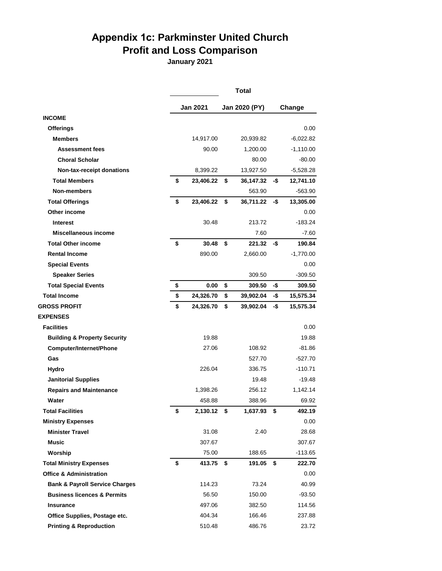# **Appendix 1c: Parkminster United Church Profit and Loss Comparison**

**January 2021**

|                                           |                   | Total           |      |             |
|-------------------------------------------|-------------------|-----------------|------|-------------|
|                                           | Jan 2021          | Jan 2020 (PY)   |      | Change      |
| <b>INCOME</b>                             |                   |                 |      |             |
| <b>Offerings</b>                          |                   |                 |      | 0.00        |
| <b>Members</b>                            | 14,917.00         | 20,939.82       |      | $-6,022.82$ |
| <b>Assessment fees</b>                    | 90.00             | 1,200.00        |      | $-1,110.00$ |
| <b>Choral Scholar</b>                     |                   | 80.00           |      | $-80.00$    |
| Non-tax-receipt donations                 | 8,399.22          | 13,927.50       |      | $-5,528.28$ |
| <b>Total Members</b>                      | \$<br>23,406.22   | \$<br>36,147.32 | -\$  | 12,741.10   |
| <b>Non-members</b>                        |                   | 563.90          |      | $-563.90$   |
| <b>Total Offerings</b>                    | \$<br>23,406.22   | \$<br>36,711.22 | -\$  | 13,305.00   |
| Other income                              |                   |                 |      | 0.00        |
| <b>Interest</b>                           | 30.48             | 213.72          |      | $-183.24$   |
| Miscellaneous income                      |                   | 7.60            |      | $-7.60$     |
| <b>Total Other income</b>                 | \$<br>30.48       | \$<br>221.32    | -\$  | 190.84      |
| <b>Rental Income</b>                      | 890.00            | 2,660.00        |      | $-1,770.00$ |
| <b>Special Events</b>                     |                   |                 |      | 0.00        |
| <b>Speaker Series</b>                     |                   | 309.50          |      | $-309.50$   |
| <b>Total Special Events</b>               | \$<br>0.00        | \$<br>309.50    | -\$  | 309.50      |
| <b>Total Income</b>                       | \$<br>24,326.70   | \$<br>39,902.04 | -\$  | 15,575.34   |
| <b>GROSS PROFIT</b>                       | \$<br>24,326.70   | \$<br>39,902.04 | -\$  | 15,575.34   |
| <b>EXPENSES</b>                           |                   |                 |      |             |
| <b>Facilities</b>                         |                   |                 |      | 0.00        |
| <b>Building &amp; Property Security</b>   | 19.88             |                 |      | 19.88       |
| Computer/Internet/Phone                   | 27.06             | 108.92          |      | $-81.86$    |
| Gas                                       |                   | 527.70          |      | $-527.70$   |
| Hydro                                     | 226.04            | 336.75          |      | $-110.71$   |
| <b>Janitorial Supplies</b>                |                   | 19.48           |      | $-19.48$    |
| <b>Repairs and Maintenance</b>            | 1,398.26          | 256.12          |      | 1,142.14    |
| Water                                     | 458.88            | 388.96          |      | 69.92       |
| <b>Total Facilities</b>                   | \$<br>2,130.12 \$ | 1,637.93        | - \$ | 492.19      |
| <b>Ministry Expenses</b>                  |                   |                 |      | 0.00        |
| <b>Minister Travel</b>                    | 31.08             | 2.40            |      | 28.68       |
| <b>Music</b>                              | 307.67            |                 |      | 307.67      |
| Worship                                   | 75.00             | 188.65          |      | $-113.65$   |
| <b>Total Ministry Expenses</b>            | \$<br>413.75      | \$<br>191.05    | \$   | 222.70      |
| <b>Office &amp; Administration</b>        |                   |                 |      | 0.00        |
| <b>Bank &amp; Payroll Service Charges</b> | 114.23            | 73.24           |      | 40.99       |
| <b>Business licences &amp; Permits</b>    | 56.50             | 150.00          |      | $-93.50$    |
| <b>Insurance</b>                          | 497.06            | 382.50          |      | 114.56      |
| Office Supplies, Postage etc.             | 404.34            | 166.46          |      | 237.88      |
| <b>Printing &amp; Reproduction</b>        | 510.48            | 486.76          |      | 23.72       |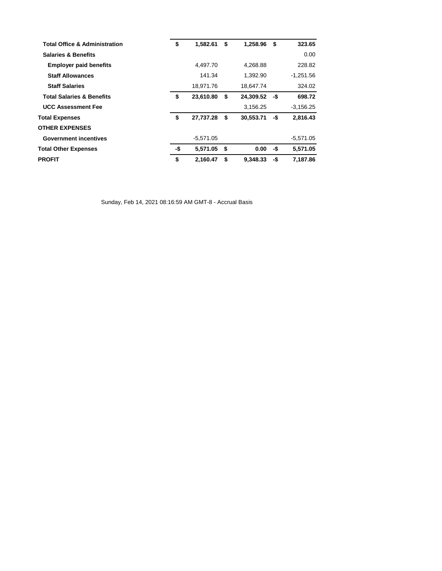| <b>Total Office &amp; Administration</b> | \$  | 1,582.61    | \$ | 1,258.96  | \$  | 323.65      |
|------------------------------------------|-----|-------------|----|-----------|-----|-------------|
| <b>Salaries &amp; Benefits</b>           |     |             |    |           |     | 0.00        |
| <b>Employer paid benefits</b>            |     | 4,497.70    |    | 4,268.88  |     | 228.82      |
| <b>Staff Allowances</b>                  |     | 141.34      |    | 1,392.90  |     | $-1.251.56$ |
| <b>Staff Salaries</b>                    |     | 18,971.76   |    | 18,647.74 |     | 324.02      |
| <b>Total Salaries &amp; Benefits</b>     | \$  | 23,610.80   | \$ | 24,309.52 | -\$ | 698.72      |
| <b>UCC Assessment Fee</b>                |     |             |    | 3,156.25  |     | $-3,156.25$ |
| <b>Total Expenses</b>                    | \$  | 27,737.28   | \$ | 30,553.71 | -\$ | 2,816.43    |
| <b>OTHER EXPENSES</b>                    |     |             |    |           |     |             |
| <b>Government incentives</b>             |     | $-5,571.05$ |    |           |     | $-5,571.05$ |
| <b>Total Other Expenses</b>              | -\$ | 5,571.05 \$ |    | 0.00      | -\$ | 5.571.05    |
| <b>PROFIT</b>                            | \$  | 2.160.47    | S. | 9.348.33  | -\$ | 7.187.86    |

Sunday, Feb 14, 2021 08:16:59 AM GMT-8 - Accrual Basis